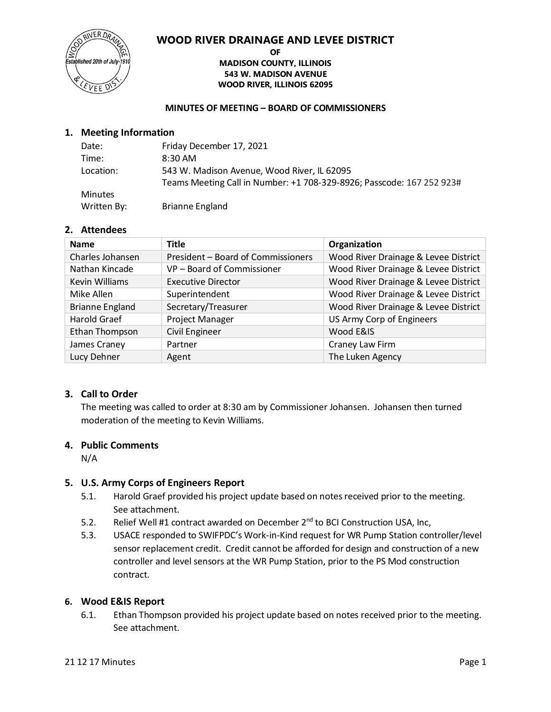

#### **OF MADISON COUNTY, ILLINOIS 543 W. MADISON AVENUE WOOD RIVER, ILLINOIS 62095**

### **MINUTES OF MEETING – BOARD OF COMMISSIONERS**

# **1. Meeting Information**

| Date:          | Friday December 17, 2021                                              |
|----------------|-----------------------------------------------------------------------|
| Time:          | 8:30 AM                                                               |
| Location:      | 543 W. Madison Avenue, Wood River, IL 62095                           |
|                | Teams Meeting Call in Number: +1 708-329-8926; Passcode: 167 252 923# |
| <b>Minutes</b> |                                                                       |
| Written By:    | <b>Brianne England</b>                                                |

### **2. Attendees**

| <b>Name</b>            | <b>Title</b>                       | Organization                         |
|------------------------|------------------------------------|--------------------------------------|
| Charles Johansen       | President - Board of Commissioners | Wood River Drainage & Levee District |
| Nathan Kincade         | VP - Board of Commissioner         | Wood River Drainage & Levee District |
| Kevin Williams         | <b>Executive Director</b>          | Wood River Drainage & Levee District |
| Mike Allen             | Superintendent                     | Wood River Drainage & Levee District |
| <b>Brianne England</b> | Secretary/Treasurer                | Wood River Drainage & Levee District |
| Harold Graef           | Project Manager                    | US Army Corp of Engineers            |
| Ethan Thompson         | <b>Civil Engineer</b>              | Wood E&IS                            |
| James Craney           | Partner                            | Craney Law Firm                      |
| Lucy Dehner            | Agent                              | The Luken Agency                     |

### **3. Call to Order**

The meeting was called to order at 8:30 am by Commissioner Johansen. Johansen then turned moderation of the meeting to Kevin Williams.

### **4. Public Comments**

N/A

### **5. U.S. Army Corps of Engineers Report**

- 5.1. Harold Graef provided his project update based on notes received prior to the meeting. See attachment.
- 5.2. Relief Well #1 contract awarded on December 2<sup>nd</sup> to BCI Construction USA, Inc,
- 5.3. USACE responded to SWIFPDC's Work-in-Kind request for WR Pump Station controller/level sensor replacement credit. Credit cannot be afforded for design and construction of a new controller and level sensors at the WR Pump Station, prior to the PS Mod construction contract.

### **6. Wood E&IS Report**

6.1. Ethan Thompson provided his project update based on notes received prior to the meeting. See attachment.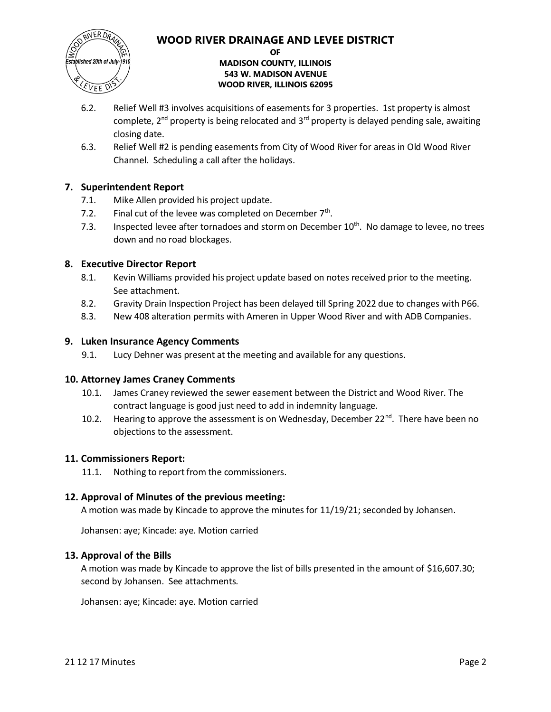

### **OF MADISON COUNTY, ILLINOIS 543 W. MADISON AVENUE WOOD RIVER, ILLINOIS 62095**

- 6.2. Relief Well #3 involves acquisitions of easements for 3 properties. 1st property is almost complete,  $2^{nd}$  property is being relocated and  $3^{rd}$  property is delayed pending sale, awaiting closing date.
- 6.3. Relief Well #2 is pending easements from City of Wood River for areas in Old Wood River Channel. Scheduling a call after the holidays.

# **7. Superintendent Report**

- 7.1. Mike Allen provided his project update.
- 7.2. Final cut of the levee was completed on December 7<sup>th</sup>.
- 7.3. Inspected levee after tornadoes and storm on December  $10^{th}$ . No damage to levee, no trees down and no road blockages.

# **8. Executive Director Report**

- 8.1. Kevin Williams provided his project update based on notes received prior to the meeting. See attachment.
- 8.2. Gravity Drain Inspection Project has been delayed till Spring 2022 due to changes with P66.
- 8.3. New 408 alteration permits with Ameren in Upper Wood River and with ADB Companies.

## **9. Luken Insurance Agency Comments**

9.1. Lucy Dehner was present at the meeting and available for any questions.

### **10. Attorney James Craney Comments**

- 10.1. James Craney reviewed the sewer easement between the District and Wood River. The contract language is good just need to add in indemnity language.
- 10.2. Hearing to approve the assessment is on Wednesday, December  $22^{nd}$ . There have been no objections to the assessment.

# **11. Commissioners Report:**

11.1. Nothing to report from the commissioners.

# **12. Approval of Minutes of the previous meeting:**

A motion was made by Kincade to approve the minutes for 11/19/21; seconded by Johansen.

Johansen: aye; Kincade: aye. Motion carried

### **13. Approval of the Bills**

A motion was made by Kincade to approve the list of bills presented in the amount of \$16,607.30; second by Johansen. See attachments.

Johansen: aye; Kincade: aye. Motion carried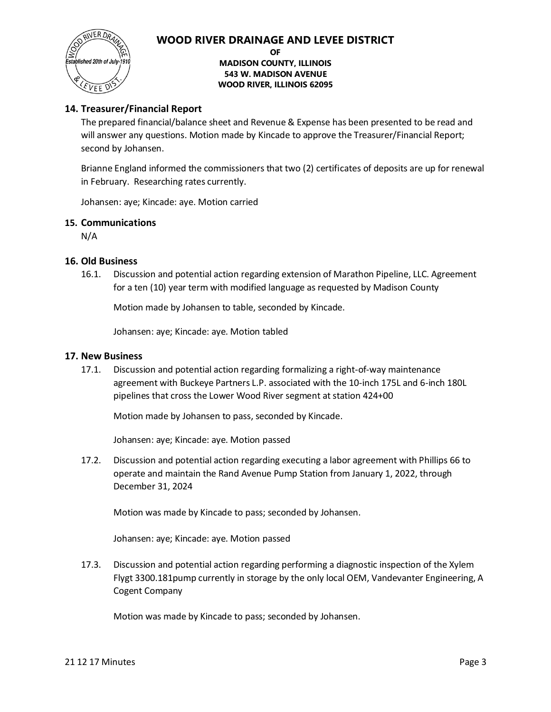

**OF**

### **MADISON COUNTY, ILLINOIS 543 W. MADISON AVENUE WOOD RIVER, ILLINOIS 62095**

### **14. Treasurer/Financial Report**

The prepared financial/balance sheet and Revenue & Expense has been presented to be read and will answer any questions. Motion made by Kincade to approve the Treasurer/Financial Report; second by Johansen.

Brianne England informed the commissioners that two (2) certificates of deposits are up for renewal in February. Researching rates currently.

Johansen: aye; Kincade: aye. Motion carried

### **15. Communications**

N/A

### **16. Old Business**

16.1. Discussion and potential action regarding extension of Marathon Pipeline, LLC. Agreement for a ten (10) year term with modified language as requested by Madison County

Motion made by Johansen to table, seconded by Kincade.

Johansen: aye; Kincade: aye. Motion tabled

### **17. New Business**

17.1. Discussion and potential action regarding formalizing a right-of-way maintenance agreement with Buckeye Partners L.P. associated with the 10-inch 175L and 6-inch 180L pipelines that cross the Lower Wood River segment at station 424+00

Motion made by Johansen to pass, seconded by Kincade.

Johansen: aye; Kincade: aye. Motion passed

17.2. Discussion and potential action regarding executing a labor agreement with Phillips 66 to operate and maintain the Rand Avenue Pump Station from January 1, 2022, through December 31, 2024

Motion was made by Kincade to pass; seconded by Johansen.

Johansen: aye; Kincade: aye. Motion passed

17.3. Discussion and potential action regarding performing a diagnostic inspection of the Xylem Flygt 3300.181pump currently in storage by the only local OEM, Vandevanter Engineering, A Cogent Company

Motion was made by Kincade to pass; seconded by Johansen.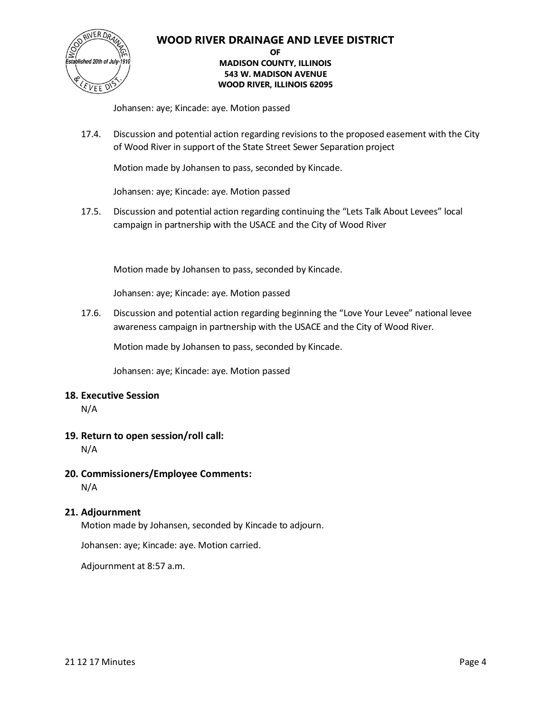

### **OF MADISON COUNTY, ILLINOIS 543 W. MADISON AVENUE WOOD RIVER, ILLINOIS 62095**

Johansen: aye; Kincade: aye. Motion passed

17.4. Discussion and potential action regarding revisions to the proposed easement with the City of Wood River in support of the State Street Sewer Separation project

Motion made by Johansen to pass, seconded by Kincade.

Johansen: aye; Kincade: aye. Motion passed

17.5. Discussion and potential action regarding continuing the "Lets Talk About Levees" local campaign in partnership with the USACE and the City of Wood River

Motion made by Johansen to pass, seconded by Kincade.

Johansen: aye; Kincade: aye. Motion passed

17.6. Discussion and potential action regarding beginning the "Love Your Levee" national levee awareness campaign in partnership with the USACE and the City of Wood River.

Motion made by Johansen to pass, seconded by Kincade.

Johansen: aye; Kincade: aye. Motion passed

### **18. Executive Session**

N/A

# **19. Return to open session/roll call:**

N/A

### **20. Commissioners/Employee Comments:**

N/A

### **21. Adjournment**

Motion made by Johansen, seconded by Kincade to adjourn.

Johansen: aye; Kincade: aye. Motion carried.

Adjournment at 8:57 a.m.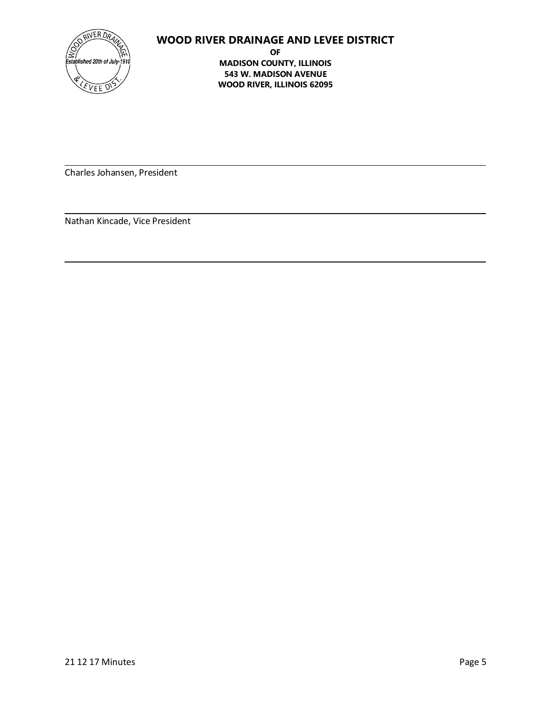

**OF MADISON COUNTY, ILLINOIS 543 W. MADISON AVENUE WOOD RIVER, ILLINOIS 62095**

Charles Johansen, President

Nathan Kincade, Vice President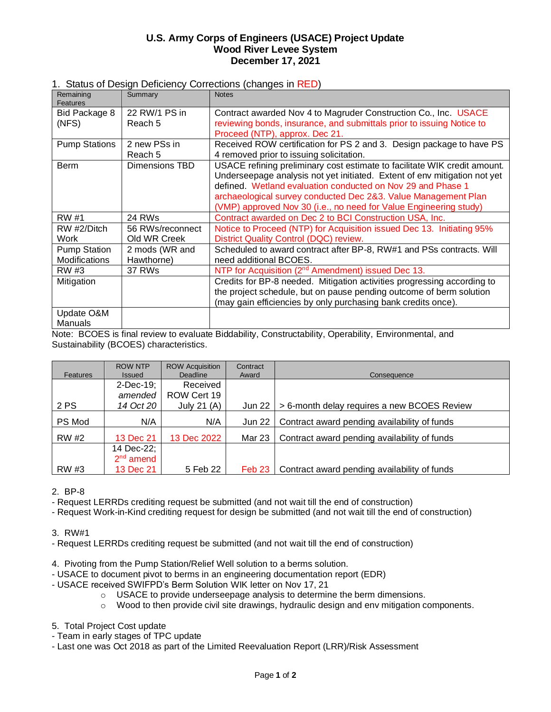### **U.S. Army Corps of Engineers (USACE) Project Update Wood River Levee System December 17, 2021**

### 1. Status of Design Deficiency Corrections (changes in RED)

| Remaining<br><b>Features</b>                | Summary                          | <b>Notes</b>                                                                                                                                                                                                                                                                                                                                                 |
|---------------------------------------------|----------------------------------|--------------------------------------------------------------------------------------------------------------------------------------------------------------------------------------------------------------------------------------------------------------------------------------------------------------------------------------------------------------|
| Bid Package 8<br>(NFS)                      | 22 RW/1 PS in<br>Reach 5         | Contract awarded Nov 4 to Magruder Construction Co., Inc. USACE<br>reviewing bonds, insurance, and submittals prior to issuing Notice to                                                                                                                                                                                                                     |
|                                             |                                  | Proceed (NTP), approx. Dec 21.                                                                                                                                                                                                                                                                                                                               |
| <b>Pump Stations</b>                        | 2 new PSs in<br>Reach 5          | Received ROW certification for PS 2 and 3. Design package to have PS<br>4 removed prior to issuing solicitation.                                                                                                                                                                                                                                             |
| <b>Berm</b>                                 | Dimensions TBD                   | USACE refining preliminary cost estimate to facilitate WIK credit amount.<br>Underseepage analysis not yet initiated. Extent of env mitigation not yet<br>defined. Wetland evaluation conducted on Nov 29 and Phase 1<br>archaeological survey conducted Dec 2&3. Value Management Plan<br>(VMP) approved Nov 30 (i.e., no need for Value Engineering study) |
| RW #1                                       | 24 RWs                           | Contract awarded on Dec 2 to BCI Construction USA, Inc.                                                                                                                                                                                                                                                                                                      |
| RW #2/Ditch<br>Work                         | 56 RWs/reconnect<br>Old WR Creek | Notice to Proceed (NTP) for Acquisition issued Dec 13. Initiating 95%<br>District Quality Control (DQC) review.                                                                                                                                                                                                                                              |
| <b>Pump Station</b><br><b>Modifications</b> | 2 mods (WR and<br>Hawthorne)     | Scheduled to award contract after BP-8, RW#1 and PSs contracts. Will<br>need additional BCOES.                                                                                                                                                                                                                                                               |
| RW #3                                       | 37 RWs                           | NTP for Acquisition (2 <sup>nd</sup> Amendment) issued Dec 13.                                                                                                                                                                                                                                                                                               |
| Mitigation                                  |                                  | Credits for BP-8 needed. Mitigation activities progressing according to<br>the project schedule, but on pause pending outcome of berm solution<br>(may gain efficiencies by only purchasing bank credits once).                                                                                                                                              |
| Update O&M<br>Manuals                       |                                  |                                                                                                                                                                                                                                                                                                                                                              |

Note: BCOES is final review to evaluate Biddability, Constructability, Operability, Environmental, and Sustainability (BCOES) characteristics.

| <b>Features</b> | <b>ROW NTP</b><br><b>Issued</b> | <b>ROW Acquisition</b><br>Deadline | Contract<br>Award | Consequence                                  |
|-----------------|---------------------------------|------------------------------------|-------------------|----------------------------------------------|
|                 | 2-Dec-19;                       | Received                           |                   |                                              |
|                 | amended                         | ROW Cert 19                        |                   |                                              |
| 2 PS            | 14 Oct 20                       | July 21 $(A)$                      | <b>Jun 22</b>     | > 6-month delay requires a new BCOES Review  |
| PS Mod          | N/A                             | N/A                                | <b>Jun 22</b>     | Contract award pending availability of funds |
| RW #2           | 13 Dec 21                       | 13 Dec 2022                        | Mar 23            | Contract award pending availability of funds |
|                 | 14 Dec-22;                      |                                    |                   |                                              |
|                 | $2nd$ amend                     |                                    |                   |                                              |
| RW #3           | 13 Dec 21                       | 5 Feb 22                           | Feb 23            | Contract award pending availability of funds |

2. BP-8

- Request LERRDs crediting request be submitted (and not wait till the end of construction)

- Request Work-in-Kind crediting request for design be submitted (and not wait till the end of construction)

3. RW#1

- Request LERRDs crediting request be submitted (and not wait till the end of construction)

- 4. Pivoting from the Pump Station/Relief Well solution to a berms solution.
- USACE to document pivot to berms in an engineering documentation report (EDR)
- USACE received SWIFPD's Berm Solution WIK letter on Nov 17, 21
	- o USACE to provide underseepage analysis to determine the berm dimensions.
	- $\circ$  Wood to then provide civil site drawings, hydraulic design and env mitigation components.
- 5. Total Project Cost update
- Team in early stages of TPC update
- Last one was Oct 2018 as part of the Limited Reevaluation Report (LRR)/Risk Assessment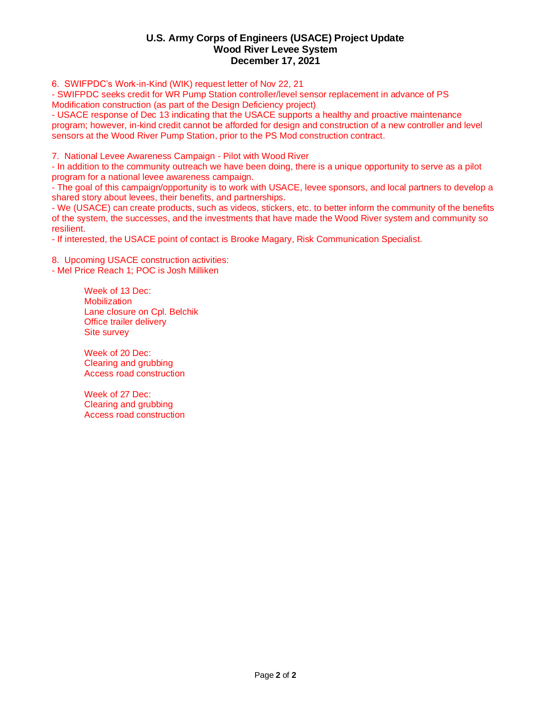### **U.S. Army Corps of Engineers (USACE) Project Update Wood River Levee System December 17, 2021**

6. SWIFPDC's Work-in-Kind (WIK) request letter of Nov 22, 21

- SWIFPDC seeks credit for WR Pump Station controller/level sensor replacement in advance of PS Modification construction (as part of the Design Deficiency project)

- USACE response of Dec 13 indicating that the USACE supports a healthy and proactive maintenance program; however, in-kind credit cannot be afforded for design and construction of a new controller and level sensors at the Wood River Pump Station, prior to the PS Mod construction contract.

7. National Levee Awareness Campaign - Pilot with Wood River

- In addition to the community outreach we have been doing, there is a unique opportunity to serve as a pilot program for a national levee awareness campaign.

- The goal of this campaign/opportunity is to work with USACE, levee sponsors, and local partners to develop a shared story about levees, their benefits, and partnerships.

- We (USACE) can create products, such as videos, stickers, etc. to better inform the community of the benefits of the system, the successes, and the investments that have made the Wood River system and community so resilient.

- If interested, the USACE point of contact is Brooke Magary, Risk Communication Specialist.

8. Upcoming USACE construction activities:

- Mel Price Reach 1; POC is Josh Milliken

Week of 13 Dec: **Mobilization** Lane closure on Cpl. Belchik Office trailer delivery Site survey

Week of 20 Dec: Clearing and grubbing Access road construction

Week of 27 Dec: Clearing and grubbing Access road construction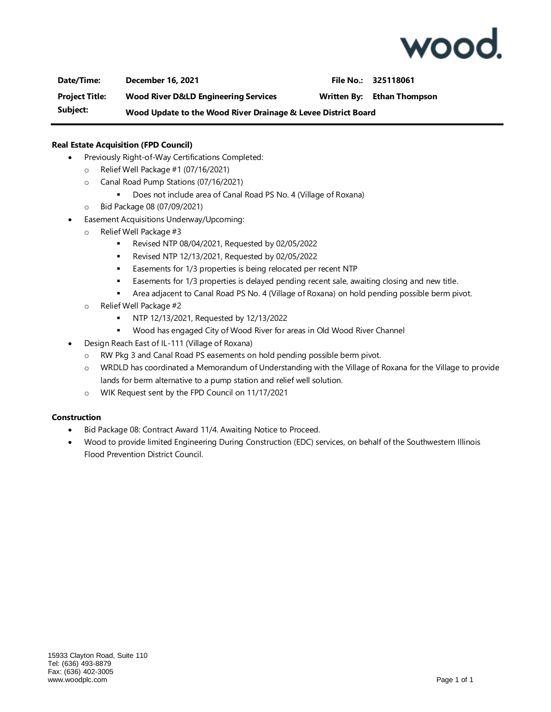

**Date/Time: December 16, 2021 File No.: 325118061 Project Title: Wood River D&LD Engineering Services Written By: Ethan Thompson Subject: Wood Update to the Wood River Drainage & Levee District Board**

### **Real Estate Acquisition (FPD Council)**

- Previously Right-of-Way Certifications Completed:
	- o Relief Well Package #1 (07/16/2021)
	- o Canal Road Pump Stations (07/16/2021)
		- Does not include area of Canal Road PS No. 4 (Village of Roxana)
	- o Bid Package 08 (07/09/2021)
- Easement Acquisitions Underway/Upcoming:
	- o Relief Well Package #3
		- Revised NTP 08/04/2021, Requested by 02/05/2022
		- Revised NTP 12/13/2021, Requested by 02/05/2022
		- **Easements for 1/3 properties is being relocated per recent NTP**
		- **■** Easements for 1/3 properties is delayed pending recent sale, awaiting closing and new title.
		- **EXECT** Area adjacent to Canal Road PS No. 4 (Village of Roxana) on hold pending possible berm pivot.
	- o Relief Well Package #2
		- NTP 12/13/2021, Requested by 12/13/2022
		- Wood has engaged City of Wood River for areas in Old Wood River Channel
- Design Reach East of IL-111 (Village of Roxana)
	- o RW Pkg 3 and Canal Road PS easements on hold pending possible berm pivot.
	- o WRDLD has coordinated a Memorandum of Understanding with the Village of Roxana for the Village to provide lands for berm alternative to a pump station and relief well solution.
	- o WIK Request sent by the FPD Council on 11/17/2021

### **Construction**

- Bid Package 08: Contract Award 11/4. Awaiting Notice to Proceed.
- Wood to provide limited Engineering During Construction (EDC) services, on behalf of the Southwestern Illinois Flood Prevention District Council.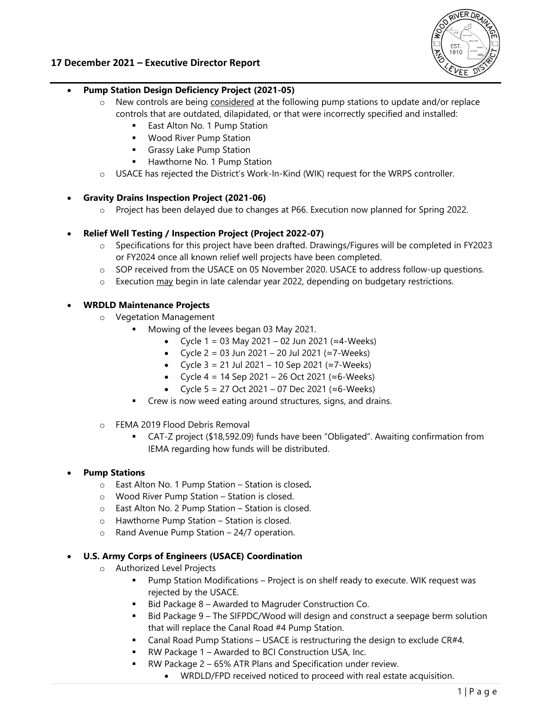

### **17 December 2021 – Executive Director Report**

- **Pump Station Design Deficiency Project (2021-05)** 
	- $\circ$  New controls are being considered at the following pump stations to update and/or replace controls that are outdated, dilapidated, or that were incorrectly specified and installed:
		- East Alton No. 1 Pump Station
		- **Wood River Pump Station**
		- **Grassy Lake Pump Station**
		- Hawthorne No. 1 Pump Station
	- o USACE has rejected the District's Work-In-Kind (WIK) request for the WRPS controller.

### **Gravity Drains Inspection Project (2021-06)**

o Project has been delayed due to changes at P66. Execution now planned for Spring 2022.

### **Relief Well Testing / Inspection Project (Project 2022-07)**

- o Specifications for this project have been drafted. Drawings/Figures will be completed in FY2023 or FY2024 once all known relief well projects have been completed.
- o SOP received from the USACE on 05 November 2020. USACE to address follow-up questions.
- o Execution may begin in late calendar year 2022, depending on budgetary restrictions.

### **WRDLD Maintenance Projects**

- o Vegetation Management
	- Mowing of the levees began 03 May 2021.
		- Cycle 1 = 03 May 2021 02 Jun 2021 (≈4-Weeks)
		- Cycle  $2 = 03$  Jun 2021 20 Jul 2021 (≈7-Weeks)
		- Cycle  $3 = 21$  Jul 2021 10 Sep 2021 (≈7-Weeks)
		- Cycle  $4 = 14$  Sep 2021 26 Oct 2021 (≈6-Weeks)
		- Cycle 5 = 27 Oct 2021 07 Dec 2021 (≈6-Weeks)
	- **Crew is now weed eating around structures, signs, and drains.**
- o FEMA 2019 Flood Debris Removal
	- CAT-Z project (\$18,592.09) funds have been "Obligated". Awaiting confirmation from IEMA regarding how funds will be distributed.

### **Pump Stations**

- o East Alton No. 1 Pump Station Station is closed*.*
- o Wood River Pump Station Station is closed.
- o East Alton No. 2 Pump Station Station is closed.
- o Hawthorne Pump Station Station is closed.
- o Rand Avenue Pump Station 24/7 operation.

### **U.S. Army Corps of Engineers (USACE) Coordination**

- o Authorized Level Projects
	- Pump Station Modifications Project is on shelf ready to execute. WIK request was rejected by the USACE.
	- Bid Package 8 Awarded to Magruder Construction Co.
	- Bid Package 9 The SIFPDC/Wood will design and construct a seepage berm solution that will replace the Canal Road #4 Pump Station.
	- Canal Road Pump Stations USACE is restructuring the design to exclude CR#4.
	- RW Package 1 Awarded to BCI Construction USA, Inc.
		- RW Package 2 65% ATR Plans and Specification under review.
			- WRDLD/FPD received noticed to proceed with real estate acquisition.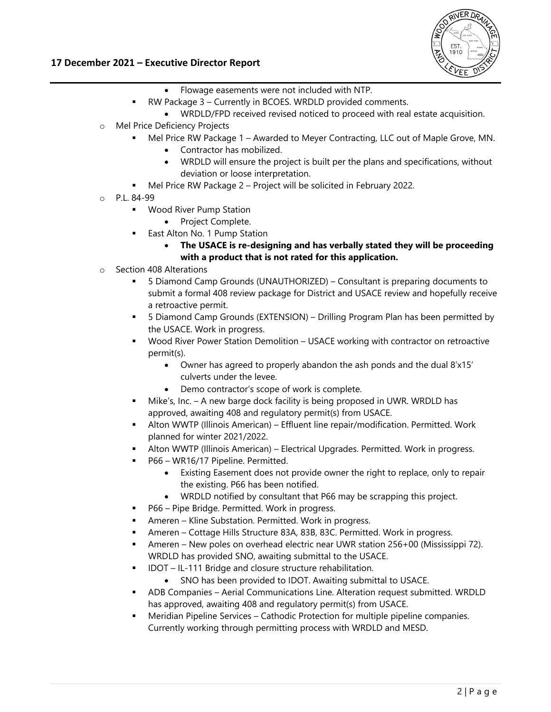

### **17 December 2021 – Executive Director Report**

- Flowage easements were not included with NTP.
- RW Package 3 Currently in BCOES. WRDLD provided comments.
- WRDLD/FPD received revised noticed to proceed with real estate acquisition.
- o Mel Price Deficiency Projects
	- Mel Price RW Package 1 Awarded to Meyer Contracting, LLC out of Maple Grove, MN.
		- Contractor has mobilized.
		- WRDLD will ensure the project is built per the plans and specifications, without deviation or loose interpretation.
	- Mel Price RW Package 2 Project will be solicited in February 2022.
- o P.L. 84-99
	- **Wood River Pump Station** 
		- Project Complete.
		- East Alton No. 1 Pump Station
			- **The USACE is re-designing and has verbally stated they will be proceeding with a product that is not rated for this application.**
- o Section 408 Alterations
	- 5 Diamond Camp Grounds (UNAUTHORIZED) Consultant is preparing documents to submit a formal 408 review package for District and USACE review and hopefully receive a retroactive permit.
	- 5 Diamond Camp Grounds (EXTENSION) Drilling Program Plan has been permitted by the USACE. Work in progress.
	- Wood River Power Station Demolition USACE working with contractor on retroactive permit(s).
		- Owner has agreed to properly abandon the ash ponds and the dual 8'x15' culverts under the levee.
		- Demo contractor's scope of work is complete.
	- Mike's, Inc. A new barge dock facility is being proposed in UWR. WRDLD has approved, awaiting 408 and regulatory permit(s) from USACE.
	- Alton WWTP (Illinois American) Effluent line repair/modification. Permitted. Work planned for winter 2021/2022.
	- Alton WWTP (Illinois American) Electrical Upgrades. Permitted. Work in progress.
	- P66 WR16/17 Pipeline. Permitted.
		- Existing Easement does not provide owner the right to replace, only to repair the existing. P66 has been notified.
		- WRDLD notified by consultant that P66 may be scrapping this project.
	- P66 Pipe Bridge. Permitted. Work in progress.
	- Ameren Kline Substation. Permitted. Work in progress.
	- Ameren Cottage Hills Structure 83A, 83B, 83C. Permitted. Work in progress.
	- Ameren New poles on overhead electric near UWR station 256+00 (Mississippi 72). WRDLD has provided SNO, awaiting submittal to the USACE.
	- IDOT IL-111 Bridge and closure structure rehabilitation.
		- SNO has been provided to IDOT. Awaiting submittal to USACE.
	- ADB Companies Aerial Communications Line. Alteration request submitted. WRDLD has approved, awaiting 408 and regulatory permit(s) from USACE.
	- Meridian Pipeline Services Cathodic Protection for multiple pipeline companies. Currently working through permitting process with WRDLD and MESD.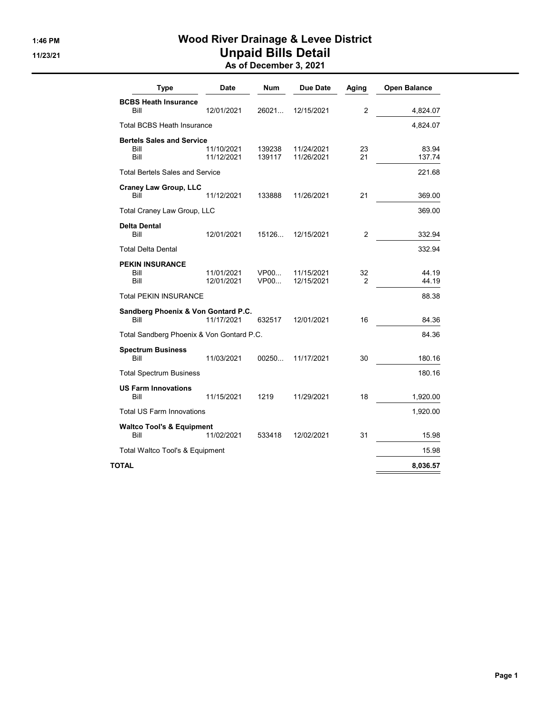# 1:46 PM Wood River Drainage & Levee District 11/23/21 Unpaid Bills Detail

|  | As of December 3, 2021 |  |  |
|--|------------------------|--|--|
|--|------------------------|--|--|

| <b>Type</b>                                      | Date                     | Num              | Due Date                 | Aging                | <b>Open Balance</b> |
|--------------------------------------------------|--------------------------|------------------|--------------------------|----------------------|---------------------|
| <b>BCBS Heath Insurance</b><br>Bill              | 12/01/2021               | 26021            | 12/15/2021               | $\overline{2}$       | 4,824.07            |
| Total BCBS Heath Insurance                       |                          |                  |                          |                      | 4,824.07            |
| <b>Bertels Sales and Service</b><br>Bill<br>Bill | 11/10/2021<br>11/12/2021 | 139238<br>139117 | 11/24/2021<br>11/26/2021 | 23<br>21             | 83.94<br>137.74     |
| <b>Total Bertels Sales and Service</b>           |                          |                  |                          |                      | 221.68              |
| <b>Craney Law Group, LLC</b><br>Bill             | 11/12/2021               | 133888           | 11/26/2021               | 21                   | 369.00              |
| Total Craney Law Group, LLC                      |                          |                  |                          |                      | 369.00              |
| <b>Delta Dental</b><br>Bill                      | 12/01/2021               | 15126            | 12/15/2021               | $\overline{2}$       | 332.94              |
| <b>Total Delta Dental</b>                        |                          |                  |                          |                      | 332.94              |
| <b>PEKIN INSURANCE</b><br>Bill<br>Bill           | 11/01/2021<br>12/01/2021 | VP00<br>VP00     | 11/15/2021<br>12/15/2021 | 32<br>$\overline{2}$ | 44.19<br>44.19      |
| <b>Total PEKIN INSURANCE</b>                     |                          |                  |                          |                      | 88.38               |
| Sandberg Phoenix & Von Gontard P.C.<br>Bill      | 11/17/2021               | 632517           | 12/01/2021               | 16                   | 84.36               |
| Total Sandberg Phoenix & Von Gontard P.C.        |                          |                  |                          |                      | 84.36               |
| <b>Spectrum Business</b><br>Bill                 | 11/03/2021               | 00250            | 11/17/2021               | 30                   | 180.16              |
| <b>Total Spectrum Business</b>                   |                          |                  |                          |                      | 180.16              |
| <b>US Farm Innovations</b><br>Bill               | 11/15/2021               | 1219             | 11/29/2021               | 18                   | 1,920.00            |
| <b>Total US Farm Innovations</b>                 |                          |                  |                          |                      | 1,920.00            |
| <b>Waltco Tool's &amp; Equipment</b><br>Bill     | 11/02/2021               | 533418           | 12/02/2021               | 31                   | 15.98               |
| Total Waltco Tool's & Equipment                  |                          |                  |                          |                      | 15.98               |
| TOTAL                                            |                          |                  |                          |                      | 8,036.57            |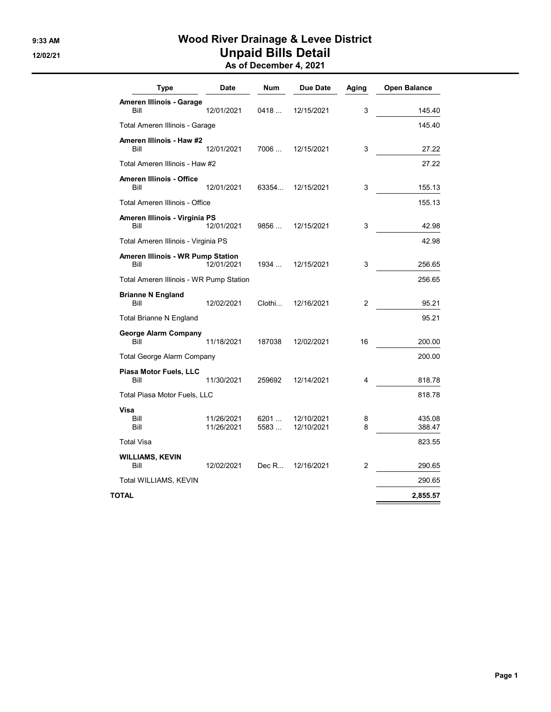# 9:33 AM **Wood River Drainage & Levee District** 12/02/21 **Unpaid Bills Detail**

|  | As of December 4, 2021 |  |
|--|------------------------|--|
|--|------------------------|--|

| Type                                      | <b>Date</b>              | <b>Num</b>   | <b>Due Date</b>          | Aging          | <b>Open Balance</b> |
|-------------------------------------------|--------------------------|--------------|--------------------------|----------------|---------------------|
| Ameren Illinois - Garage<br>Bill          | 12/01/2021               | 0418         | 12/15/2021               | 3              | 145.40              |
| Total Ameren Illinois - Garage            |                          |              |                          |                | 145.40              |
| Ameren Illinois - Haw #2<br>Bill          | 12/01/2021               | 7006         | 12/15/2021               | 3              | 27.22               |
| Total Ameren Illinois - Haw #2            |                          |              |                          |                | 27.22               |
| Ameren Illinois - Office<br>Bill          | 12/01/2021               | 63354        | 12/15/2021               | 3              | 155.13              |
| Total Ameren Illinois - Office            |                          |              |                          |                | 155.13              |
| Ameren Illinois - Virginia PS<br>Bill     | 12/01/2021               | 9856         | 12/15/2021               | 3              | 42.98               |
| Total Ameren Illinois - Virginia PS       |                          |              |                          |                | 42.98               |
| Ameren Illinois - WR Pump Station<br>Bill | 12/01/2021               | 1934         | 12/15/2021               | 3              | 256.65              |
| Total Ameren Illinois - WR Pump Station   |                          |              |                          |                | 256.65              |
| <b>Brianne N England</b><br>Bill          | 12/02/2021               | Clothi       | 12/16/2021               | $\overline{2}$ | 95.21               |
| <b>Total Brianne N England</b>            |                          |              |                          |                | 95.21               |
| <b>George Alarm Company</b><br>Bill       | 11/18/2021               | 187038       | 12/02/2021               | 16             | 200.00              |
| <b>Total George Alarm Company</b>         |                          |              |                          |                | 200.00              |
| Piasa Motor Fuels, LLC<br>Bill            | 11/30/2021               | 259692       | 12/14/2021               | 4              | 818.78              |
| Total Piasa Motor Fuels, LLC              |                          |              |                          |                | 818.78              |
| Visa<br>Bill<br>Bill                      | 11/26/2021<br>11/26/2021 | 6201<br>5583 | 12/10/2021<br>12/10/2021 | 8<br>8         | 435.08<br>388.47    |
| <b>Total Visa</b>                         |                          |              |                          |                | 823.55              |
| <b>WILLIAMS, KEVIN</b><br>Bill            | 12/02/2021               | Dec R        | 12/16/2021               | 2              | 290.65              |
| Total WILLIAMS, KEVIN                     |                          |              |                          |                | 290.65              |
| TOTAL                                     |                          |              |                          |                | 2,855.57            |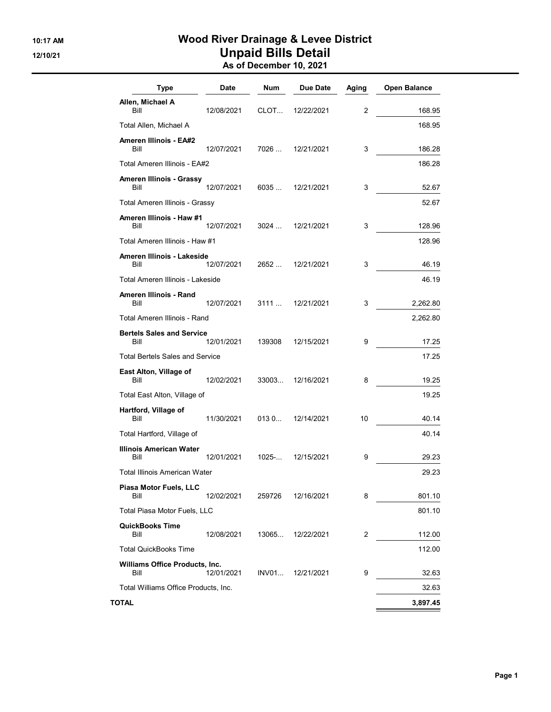# 10:17 AM Wood River Drainage & Levee District 12/10/21 **Unpaid Bills Detail** As of December 10, 2021

| <b>Type</b>                              | Date       | Num       | Due Date   | Aging          | <b>Open Balance</b> |
|------------------------------------------|------------|-----------|------------|----------------|---------------------|
| Allen, Michael A<br>Bill                 | 12/08/2021 | CLOT      | 12/22/2021 | $\overline{2}$ | 168.95              |
| Total Allen, Michael A                   |            |           |            |                | 168.95              |
| <b>Ameren Illinois - EA#2</b>            |            |           |            |                |                     |
| Bill                                     | 12/07/2021 | 7026 …    | 12/21/2021 | 3              | 186.28              |
| Total Ameren Illinois - EA#2             |            |           |            |                | 186.28              |
| Ameren Illinois - Grassy<br>Bill         | 12/07/2021 | 6035      | 12/21/2021 | 3              | 52.67               |
| Total Ameren Illinois - Grassy           |            |           |            |                | 52.67               |
| Ameren Illinois - Haw #1<br>Bill         | 12/07/2021 | 3024      | 12/21/2021 | 3              | 128.96              |
| Total Ameren Illinois - Haw #1           |            |           |            |                | 128.96              |
| Ameren Illinois - Lakeside<br>Bill       | 12/07/2021 | 2652      | 12/21/2021 | 3              | 46.19               |
| Total Ameren Illinois - Lakeside         |            |           |            |                | 46.19               |
| Ameren Illinois - Rand<br>Bill           | 12/07/2021 | 3111      | 12/21/2021 | 3              | 2,262.80            |
| Total Ameren Illinois - Rand             |            |           |            |                | 2,262.80            |
| <b>Bertels Sales and Service</b><br>Bill | 12/01/2021 | 139308    | 12/15/2021 | 9              | 17.25               |
| <b>Total Bertels Sales and Service</b>   |            |           |            |                | 17.25               |
| East Alton, Village of<br>Bill           | 12/02/2021 | 33003     | 12/16/2021 | 8              | 19.25               |
| Total East Alton, Village of             |            |           |            |                | 19.25               |
| Hartford, Village of<br>Bill             | 11/30/2021 | 0130      | 12/14/2021 | 10             | 40.14               |
| Total Hartford, Village of               |            |           |            |                | 40.14               |
| Illinois American Water<br>Bill          | 12/01/2021 | $1025 - $ | 12/15/2021 | 9              | 29.23               |
| Total Illinois American Water            |            |           |            |                | 29.23               |
| Piasa Motor Fuels, LLC<br>Bill           | 12/02/2021 | 259726    | 12/16/2021 | 8              | 801.10              |
| Total Piasa Motor Fuels, LLC             |            |           |            |                | 801.10              |
| <b>QuickBooks Time</b><br>Bill           | 12/08/2021 | 13065     | 12/22/2021 | 2              | 112.00              |
| <b>Total QuickBooks Time</b>             |            |           |            |                | 112.00              |
| Williams Office Products, Inc.<br>Bill   | 12/01/2021 | INV01     | 12/21/2021 | 9              | 32.63               |
| Total Williams Office Products, Inc.     |            |           |            |                | 32.63               |
| TOTAL                                    |            |           |            |                | 3,897.45            |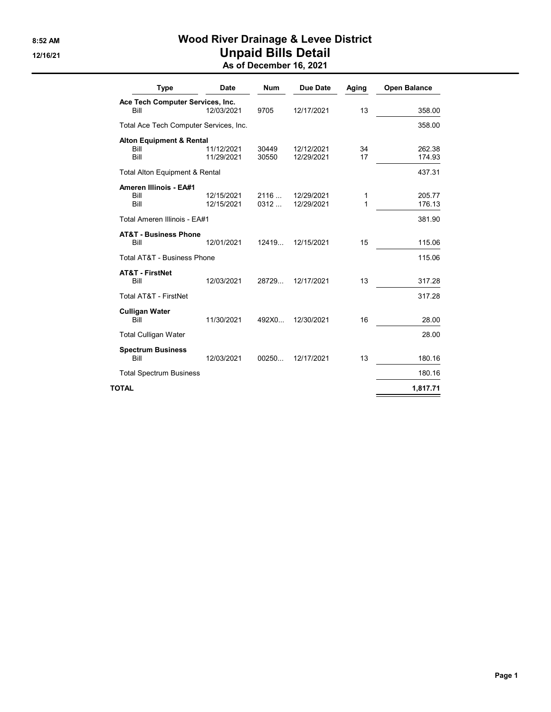# 8:52 AM **Wood River Drainage & Levee District** 12/16/21 **Unpaid Bills Detail**

As of December 16, 2021

| <b>Type</b>                               | <b>Date</b> | <b>Num</b> | Due Date   | Aging       | <b>Open Balance</b> |
|-------------------------------------------|-------------|------------|------------|-------------|---------------------|
| Ace Tech Computer Services, Inc.          |             |            |            |             |                     |
| Bill                                      | 12/03/2021  | 9705       | 12/17/2021 | 13          | 358.00              |
| Total Ace Tech Computer Services, Inc.    |             |            |            |             | 358.00              |
| <b>Alton Equipment &amp; Rental</b>       |             |            |            |             |                     |
| Bill                                      | 11/12/2021  | 30449      | 12/12/2021 | 34          | 262.38              |
| Bill                                      | 11/29/2021  | 30550      | 12/29/2021 | 17          | 174.93              |
| <b>Total Alton Equipment &amp; Rental</b> |             |            |            |             | 437.31              |
| <b>Ameren Illinois - EA#1</b>             |             |            |            |             |                     |
| Bill                                      | 12/15/2021  | 2116       | 12/29/2021 | 1           | 205.77              |
| Bill                                      | 12/15/2021  | 0312       | 12/29/2021 | $\mathbf 1$ | 176.13              |
| Total Ameren Illinois - EA#1              |             |            |            |             | 381.90              |
| <b>AT&amp;T - Business Phone</b>          |             |            |            |             |                     |
| Bill                                      | 12/01/2021  | 12419      | 12/15/2021 | 15          | 115.06              |
| Total AT&T - Business Phone               |             |            |            |             | 115.06              |
| <b>AT&amp;T - FirstNet</b>                |             |            |            |             |                     |
| Bill                                      | 12/03/2021  | 28729      | 12/17/2021 | 13          | 317.28              |
| <b>Total AT&amp;T - FirstNet</b>          |             |            |            |             | 317.28              |
| <b>Culligan Water</b>                     |             |            |            |             |                     |
| Bill                                      | 11/30/2021  | 492X0      | 12/30/2021 | 16          | 28.00               |
| <b>Total Culligan Water</b>               |             |            |            |             | 28.00               |
| <b>Spectrum Business</b>                  |             |            |            |             |                     |
| Bill                                      | 12/03/2021  | 00250      | 12/17/2021 | 13          | 180.16              |
| <b>Total Spectrum Business</b>            |             |            |            |             | 180.16              |
| TOTAL                                     |             |            |            |             | 1,817.71            |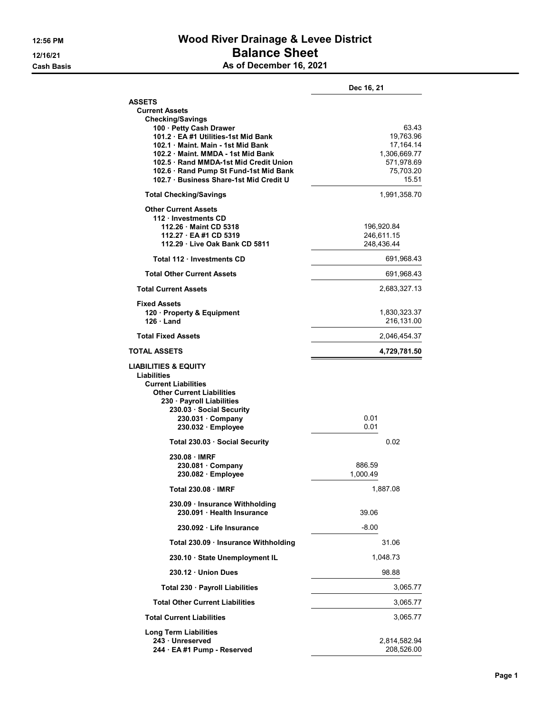# 12:56 PM Wood River Drainage & Levee District 12/16/21 **Balance Sheet Cash Basis** Cash Basis **As of December 16, 2021**

|  | As of December 16, 202 |  |  |
|--|------------------------|--|--|
|--|------------------------|--|--|

|                                                                                                                                                                                                                                                                    | Dec 16, 21                                                                          |
|--------------------------------------------------------------------------------------------------------------------------------------------------------------------------------------------------------------------------------------------------------------------|-------------------------------------------------------------------------------------|
| <b>ASSETS</b><br><b>Current Assets</b><br><b>Checking/Savings</b>                                                                                                                                                                                                  |                                                                                     |
| 100 · Petty Cash Drawer<br>101.2 EA #1 Utilities-1st Mid Bank<br>102.1 Maint. Main - 1st Mid Bank<br>102.2 Maint, MMDA - 1st Mid Bank<br>102.5 Rand MMDA-1st Mid Credit Union<br>102.6 · Rand Pump St Fund-1st Mid Bank<br>102.7 · Business Share-1st Mid Credit U | 63.43<br>19,763.96<br>17,164.14<br>1,306,669.77<br>571,978.69<br>75,703.20<br>15.51 |
| <b>Total Checking/Savings</b>                                                                                                                                                                                                                                      | 1,991,358.70                                                                        |
| <b>Other Current Assets</b><br>112 · Investments CD<br>112.26 Maint CD 5318<br>112.27 EA #1 CD 5319<br>112.29 Live Oak Bank CD 5811                                                                                                                                | 196,920.84<br>246,611.15<br>248,436.44                                              |
| Total 112 Investments CD                                                                                                                                                                                                                                           | 691,968.43                                                                          |
| <b>Total Other Current Assets</b>                                                                                                                                                                                                                                  | 691,968.43                                                                          |
| <b>Total Current Assets</b>                                                                                                                                                                                                                                        | 2,683,327.13                                                                        |
| <b>Fixed Assets</b><br>120 · Property & Equipment<br>$126 \cdot$ Land                                                                                                                                                                                              | 1,830,323.37<br>216,131.00                                                          |
| <b>Total Fixed Assets</b>                                                                                                                                                                                                                                          | 2,046,454.37                                                                        |
| <b>TOTAL ASSETS</b>                                                                                                                                                                                                                                                | 4,729,781.50                                                                        |
| <b>LIABILITIES &amp; EQUITY</b><br>Liabilities<br><b>Current Liabilities</b><br><b>Other Current Liabilities</b><br>230 · Payroll Liabilities<br>230.03 Social Security<br>$230.031 \cdot$ Company<br>230.032 Employee                                             | 0.01<br>0.01                                                                        |
| Total 230.03 · Social Security                                                                                                                                                                                                                                     | 0.02                                                                                |
| 230.08 IMRF<br>$230.081 \cdot$ Company<br>230.082 · Employee                                                                                                                                                                                                       | 886.59<br>1.000.49                                                                  |
| Total 230.08 · IMRF                                                                                                                                                                                                                                                | 1,887.08                                                                            |
| 230.09 Insurance Withholding<br>230.091 · Health Insurance                                                                                                                                                                                                         | 39.06                                                                               |
|                                                                                                                                                                                                                                                                    | $-8.00$                                                                             |
| 230.092 Life Insurance                                                                                                                                                                                                                                             |                                                                                     |
| Total 230.09 · Insurance Withholding                                                                                                                                                                                                                               | 31.06                                                                               |
| 230.10 State Unemployment IL                                                                                                                                                                                                                                       | 1,048.73                                                                            |
| 230.12 Union Dues                                                                                                                                                                                                                                                  | 98.88                                                                               |
| Total 230 · Payroll Liabilities                                                                                                                                                                                                                                    | 3,065.77                                                                            |
| <b>Total Other Current Liabilities</b>                                                                                                                                                                                                                             | 3,065.77                                                                            |
| <b>Total Current Liabilities</b>                                                                                                                                                                                                                                   | 3,065.77                                                                            |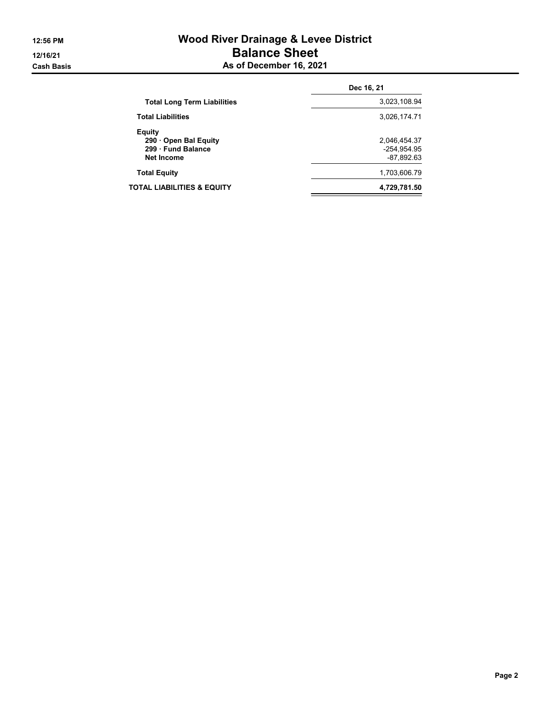# 12:56 PM Wood River Drainage & Levee District 12/16/21 **Balance Sheet Cash Basis** Cash Basis **As of December 16, 2021**

|                                                                 | Dec 16, 21                                    |  |
|-----------------------------------------------------------------|-----------------------------------------------|--|
| <b>Total Long Term Liabilities</b>                              | 3,023,108.94                                  |  |
| <b>Total Liabilities</b>                                        | 3.026.174.71                                  |  |
| Equity<br>290 Open Bal Equity<br>299 Fund Balance<br>Net Income | 2,046,454.37<br>$-254,954.95$<br>$-87,892.63$ |  |
| <b>Total Equity</b>                                             | 1,703,606.79                                  |  |
| TOTAL LIABILITIES & EQUITY                                      | 4,729,781.50                                  |  |
|                                                                 |                                               |  |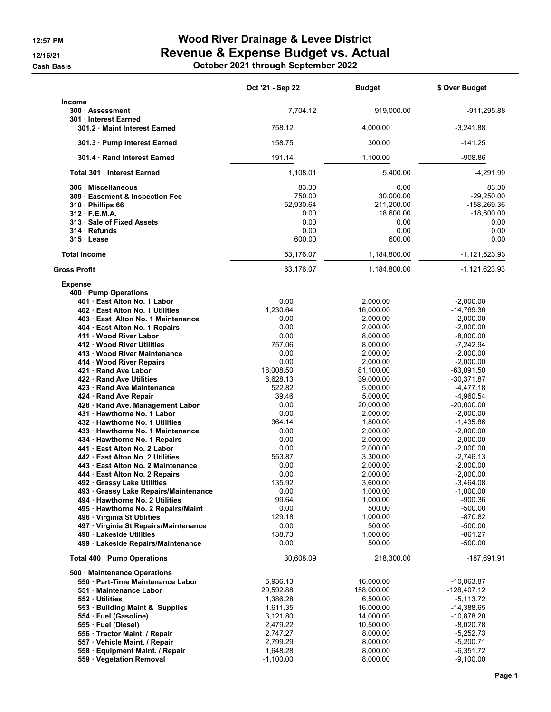**Cash Basis** 

# 12:57 PM **Wood River Drainage & Levee District** 12/16/21 **Revenue & Expense Budget vs. Actual**

|  |  | October 2021 through September 2022 |
|--|--|-------------------------------------|
|--|--|-------------------------------------|

|                                                                                                                                                                                                                                                                                                                                                                                                                                                                                                                                                                                                                                                                                                                                                                                                                                                                                                                                                                                                                  | Oct '21 - Sep 22                                                                                                                                                                                                                                                  | <b>Budget</b>                                                                                                                                                                                                                                                                                                                                          | \$ Over Budget                                                                                                                                                                                                                                                                                                                                                                                                                    |
|------------------------------------------------------------------------------------------------------------------------------------------------------------------------------------------------------------------------------------------------------------------------------------------------------------------------------------------------------------------------------------------------------------------------------------------------------------------------------------------------------------------------------------------------------------------------------------------------------------------------------------------------------------------------------------------------------------------------------------------------------------------------------------------------------------------------------------------------------------------------------------------------------------------------------------------------------------------------------------------------------------------|-------------------------------------------------------------------------------------------------------------------------------------------------------------------------------------------------------------------------------------------------------------------|--------------------------------------------------------------------------------------------------------------------------------------------------------------------------------------------------------------------------------------------------------------------------------------------------------------------------------------------------------|-----------------------------------------------------------------------------------------------------------------------------------------------------------------------------------------------------------------------------------------------------------------------------------------------------------------------------------------------------------------------------------------------------------------------------------|
| <b>Income</b><br>300 · Assessment                                                                                                                                                                                                                                                                                                                                                                                                                                                                                                                                                                                                                                                                                                                                                                                                                                                                                                                                                                                | 7,704.12                                                                                                                                                                                                                                                          | 919,000.00                                                                                                                                                                                                                                                                                                                                             | $-911,295.88$                                                                                                                                                                                                                                                                                                                                                                                                                     |
| 301 Interest Earned<br>301.2 Maint Interest Earned                                                                                                                                                                                                                                                                                                                                                                                                                                                                                                                                                                                                                                                                                                                                                                                                                                                                                                                                                               | 758.12                                                                                                                                                                                                                                                            | 4,000.00                                                                                                                                                                                                                                                                                                                                               | $-3,241.88$                                                                                                                                                                                                                                                                                                                                                                                                                       |
| 301.3 · Pump Interest Earned                                                                                                                                                                                                                                                                                                                                                                                                                                                                                                                                                                                                                                                                                                                                                                                                                                                                                                                                                                                     | 158.75                                                                                                                                                                                                                                                            | 300.00                                                                                                                                                                                                                                                                                                                                                 | $-141.25$                                                                                                                                                                                                                                                                                                                                                                                                                         |
| 301.4 Rand Interest Earned                                                                                                                                                                                                                                                                                                                                                                                                                                                                                                                                                                                                                                                                                                                                                                                                                                                                                                                                                                                       | 191.14                                                                                                                                                                                                                                                            | 1,100.00                                                                                                                                                                                                                                                                                                                                               | $-908.86$                                                                                                                                                                                                                                                                                                                                                                                                                         |
| Total 301 Interest Earned                                                                                                                                                                                                                                                                                                                                                                                                                                                                                                                                                                                                                                                                                                                                                                                                                                                                                                                                                                                        | 1,108.01                                                                                                                                                                                                                                                          | 5,400.00                                                                                                                                                                                                                                                                                                                                               | $-4,291.99$                                                                                                                                                                                                                                                                                                                                                                                                                       |
| 306 Miscellaneous<br>309 · Easement & Inspection Fee<br>310 · Phillips 66<br>312 F.E.M.A.<br>313 · Sale of Fixed Assets<br>314 Refunds<br>315 Lease                                                                                                                                                                                                                                                                                                                                                                                                                                                                                                                                                                                                                                                                                                                                                                                                                                                              | 83.30<br>750.00<br>52,930.64<br>0.00<br>0.00<br>0.00<br>600.00                                                                                                                                                                                                    | 0.00<br>30,000.00<br>211,200.00<br>18,600.00<br>0.00<br>0.00<br>600.00                                                                                                                                                                                                                                                                                 | 83.30<br>$-29,250.00$<br>-158,269.36<br>$-18,600.00$<br>0.00<br>0.00<br>0.00                                                                                                                                                                                                                                                                                                                                                      |
| <b>Total Income</b>                                                                                                                                                                                                                                                                                                                                                                                                                                                                                                                                                                                                                                                                                                                                                                                                                                                                                                                                                                                              | 63,176.07                                                                                                                                                                                                                                                         | 1,184,800.00                                                                                                                                                                                                                                                                                                                                           | $-1, 121, 623.93$                                                                                                                                                                                                                                                                                                                                                                                                                 |
| <b>Gross Profit</b>                                                                                                                                                                                                                                                                                                                                                                                                                                                                                                                                                                                                                                                                                                                                                                                                                                                                                                                                                                                              | 63,176.07                                                                                                                                                                                                                                                         | 1,184,800.00                                                                                                                                                                                                                                                                                                                                           | -1,121,623.93                                                                                                                                                                                                                                                                                                                                                                                                                     |
| <b>Expense</b><br>400 Pump Operations<br>401 · East Alton No. 1 Labor<br>402 · East Alton No. 1 Utilities<br>403 · East Alton No. 1 Maintenance<br>404 · East Alton No. 1 Repairs<br>411 Wood River Labor<br>412 Wood River Utilities<br>413 · Wood River Maintenance<br>414 · Wood River Repairs<br>421 Rand Ave Labor<br>422 · Rand Ave Utilities<br>423 Rand Ave Maintenance<br>424 · Rand Ave Repair<br>428 · Rand Ave. Management Labor<br>431 Hawthorne No. 1 Labor<br>432 Hawthorne No. 1 Utilities<br>433 · Hawthorne No. 1 Maintenance<br>434 · Hawthorne No. 1 Repairs<br>441 East Alton No. 2 Labor<br>442 East Alton No. 2 Utilities<br>443 · East Alton No. 2 Maintenance<br>444 · East Alton No. 2 Repairs<br>492 · Grassy Lake Utilities<br>493 Grassy Lake Repairs/Maintenance<br>494 · Hawthorne No. 2 Utilities<br>495 · Hawthorne No. 2 Repairs/Maint<br>496 · Virginia St Utilities<br>497 · Virginia St Repairs/Maintenance<br>498 Lakeside Utilities<br>499 · Lakeside Repairs/Maintenance | 0.00<br>1,230.64<br>0.00<br>0.00<br>0.00<br>757.06<br>0.00<br>0.00<br>18,008.50<br>8,628.13<br>522.82<br>39.46<br>0.00<br>0.00<br>364.14<br>0.00<br>0.00<br>0.00<br>553.87<br>0.00<br>0.00<br>135.92<br>0.00<br>99.64<br>0.00<br>129.18<br>0.00<br>138.73<br>0.00 | 2,000.00<br>16,000.00<br>2,000.00<br>2,000.00<br>8,000.00<br>8,000.00<br>2,000.00<br>2,000.00<br>81,100.00<br>39,000.00<br>5,000.00<br>5,000.00<br>20,000.00<br>2,000.00<br>1,800.00<br>2,000.00<br>2,000.00<br>2,000.00<br>3,300.00<br>2,000.00<br>2,000.00<br>3,600.00<br>1,000.00<br>1,000.00<br>500.00<br>1,000.00<br>500.00<br>1,000.00<br>500.00 | $-2,000.00$<br>$-14,769.36$<br>$-2,000.00$<br>$-2,000.00$<br>$-8,000.00$<br>$-7,242.94$<br>$-2,000.00$<br>$-2,000.00$<br>$-63,091.50$<br>$-30,371.87$<br>$-4,477.18$<br>$-4,960.54$<br>$-20,000.00$<br>$-2,000.00$<br>$-1,435.86$<br>$-2,000.00$<br>$-2,000.00$<br>$-2,000.00$<br>$-2,746.13$<br>$-2,000.00$<br>$-2,000.00$<br>-3,464.08<br>$-1,000.00$<br>$-900.36$<br>$-500.00$<br>-870.82<br>$-500.00$<br>-861.27<br>$-500.00$ |
| Total 400 · Pump Operations<br>500 Maintenance Operations<br>550 · Part-Time Maintenance Labor<br>551 Maintenance Labor<br>552 Utilities<br>553 · Building Maint & Supplies<br>554 · Fuel (Gasoline)<br>555 · Fuel (Diesel)<br>556 · Tractor Maint. / Repair<br>557 · Vehicle Maint. / Repair<br>558 · Equipment Maint. / Repair<br>559 · Vegetation Removal                                                                                                                                                                                                                                                                                                                                                                                                                                                                                                                                                                                                                                                     | 30,608.09<br>5,936.13<br>29,592.88<br>1,386.28<br>1,611.35<br>3,121.80<br>2,479.22<br>2,747.27<br>2,799.29<br>1,648.28<br>$-1,100.00$                                                                                                                             | 218,300.00<br>16,000.00<br>158,000.00<br>6,500.00<br>16,000.00<br>14,000.00<br>10,500.00<br>8,000.00<br>8,000.00<br>8,000.00<br>8,000.00                                                                                                                                                                                                               | -187,691.91<br>-10,063.87<br>$-128,407.12$<br>-5,113.72<br>$-14,388.65$<br>-10,878.20<br>-8,020.78<br>$-5,252.73$<br>$-5,200.71$<br>$-6,351.72$<br>$-9,100.00$                                                                                                                                                                                                                                                                    |